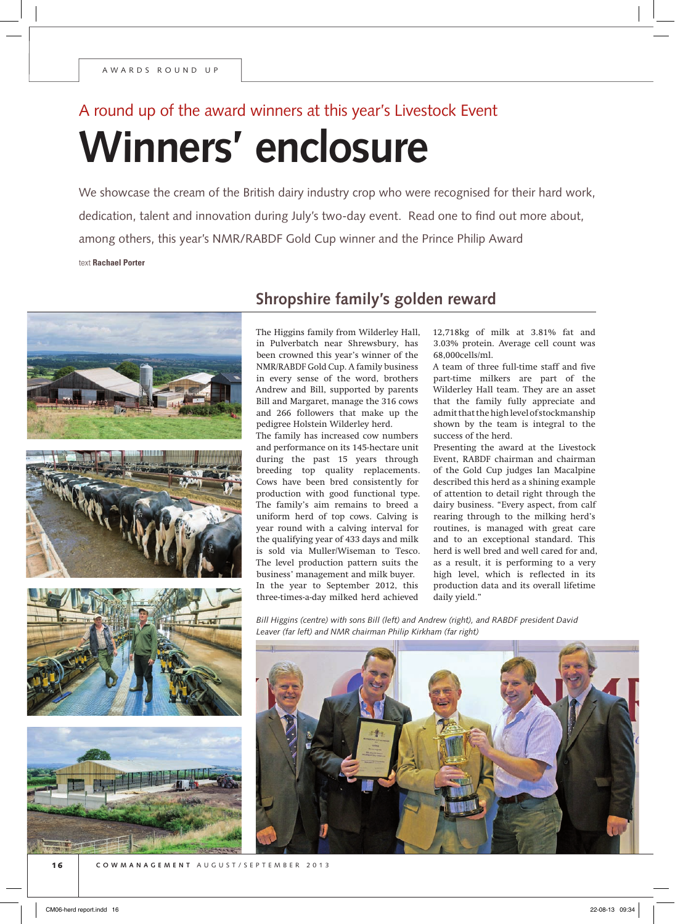# **Winners' enclosure** A round up of the award winners at this year's Livestock Event

We showcase the cream of the British dairy industry crop who were recognised for their hard work, dedication, talent and innovation during July's two-day event. Read one to find out more about, among others, this year's NMR/RABDF Gold Cup winner and the Prince Philip Award text **Rachael Porter**



## **Shropshire family's golden reward**

The Higgins family from Wilderley Hall, in Pulverbatch near Shrewsbury, has been crowned this year's winner of the NMR/RABDF Gold Cup. A family business in every sense of the word, brothers Andrew and Bill, supported by parents Bill and Margaret, manage the 316 cows and 266 followers that make up the pedigree Holstein Wilderley herd.

The family has increased cow numbers and performance on its 145-hectare unit during the past 15 years through breeding top quality replacements. Cows have been bred consistently for production with good functional type. The family's aim remains to breed a uniform herd of top cows. Calving is year round with a calving interval for the qualifying year of 433 days and milk is sold via Muller/Wiseman to Tesco. The level production pattern suits the business' management and milk buyer. In the year to September 2012, this three-times-a-day milked herd achieved

12,718kg of milk at 3.81% fat and 3.03% protein. Average cell count was 68,000cells/ml.

A team of three full-time staff and five part-time milkers are part of the Wilderley Hall team. They are an asset that the family fully appreciate and admit that the high level of stockmanship shown by the team is integral to the success of the herd.

Presenting the award at the Livestock Event, RABDF chairman and chairman of the Gold Cup judges Ian Macalpine described this herd as a shining example of attention to detail right through the dairy business. "Every aspect, from calf rearing through to the milking herd's routines, is managed with great care and to an exceptional standard. This herd is well bred and well cared for and, as a result, it is performing to a very high level, which is reflected in its production data and its overall lifetime daily yield."

*Bill Higgins (centre) with sons Bill (left) and Andrew (right), and RABDF president David Leaver (far left) and NMR chairman Philip Kirkham (far right)*

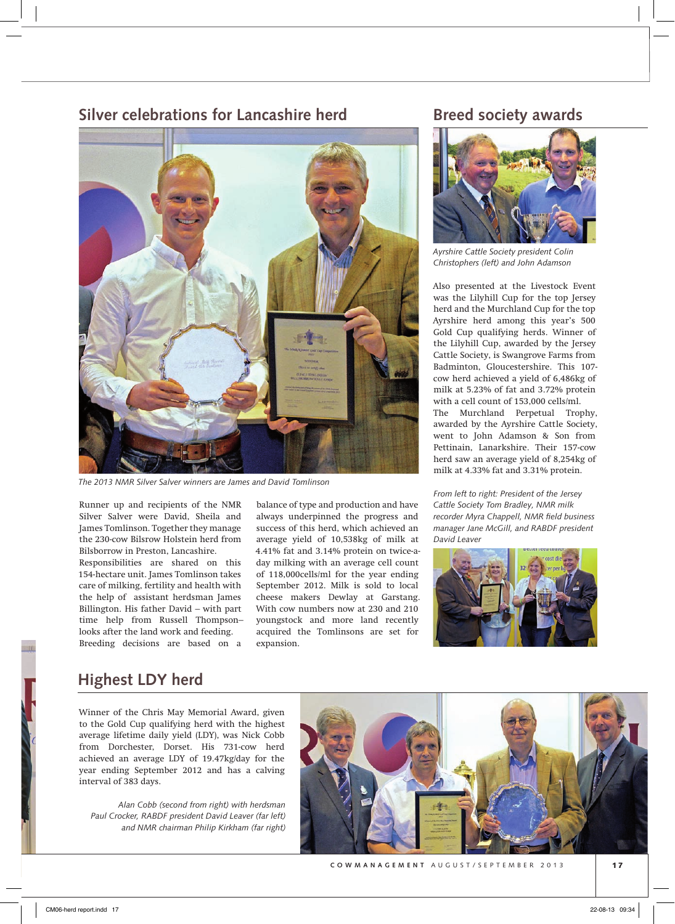#### **Silver celebrations for Lancashire herd**



*The 2013 NMR Silver Salver winners are James and David Tomlinson*

Runner up and recipients of the NMR Silver Salver were David, Sheila and James Tomlinson. Together they manage the 230-cow Bilsrow Holstein herd from Bilsborrow in Preston, Lancashire. Responsibilities are shared on this

154-hectare unit. James Tomlinson takes care of milking, fertility and health with the help of assistant herdsman James Billington. His father David – with part time help from Russell Thompson– looks after the land work and feeding. Breeding decisions are based on a

balance of type and production and have always underpinned the progress and success of this herd, which achieved an average yield of 10,538kg of milk at 4.41% fat and 3.14% protein on twice-aday milking with an average cell count of 118,000cells/ml for the year ending September 2012. Milk is sold to local cheese makers Dewlay at Garstang. With cow numbers now at 230 and 210 youngstock and more land recently acquired the Tomlinsons are set for expansion.

#### **Breed society awards**



*Ayrshire Cattle Society president Colin Christophers (left) and John Adamson*

Also presented at the Livestock Event was the Lilyhill Cup for the top Jersey herd and the Murchland Cup for the top Ayrshire herd among this year's 500 Gold Cup qualifying herds. Winner of the Lilyhill Cup, awarded by the Jersey Cattle Society, is Swangrove Farms from Badminton, Gloucestershire. This 107 cow herd achieved a yield of 6,486kg of milk at 5.23% of fat and 3.72% protein with a cell count of 153,000 cells/ml. The Murchland Perpetual Trophy, awarded by the Ayrshire Cattle Society, went to John Adamson & Son from Pettinain, Lanarkshire. Their 157-cow herd saw an average yield of 8,254kg of milk at 4.33% fat and 3.31% protein.

*From left to right: President of the Jersey Cattle Society Tom Bradley, NMR milk recorder Myra Chappell, NMR field business manager Jane McGill, and RABDF president David Leaver*



### **Highest LDY herd**

Winner of the Chris May Memorial Award, given to the Gold Cup qualifying herd with the highest average lifetime daily yield (LDY), was Nick Cobb from Dorchester, Dorset. His 731-cow herd achieved an average LDY of 19.47kg/day for the year ending September 2012 and has a calving interval of 383 days.

*Alan Cobb (second from right) with herdsman Paul Crocker, RABDF president David Leaver (far left) and NMR chairman Philip Kirkham (far right)*